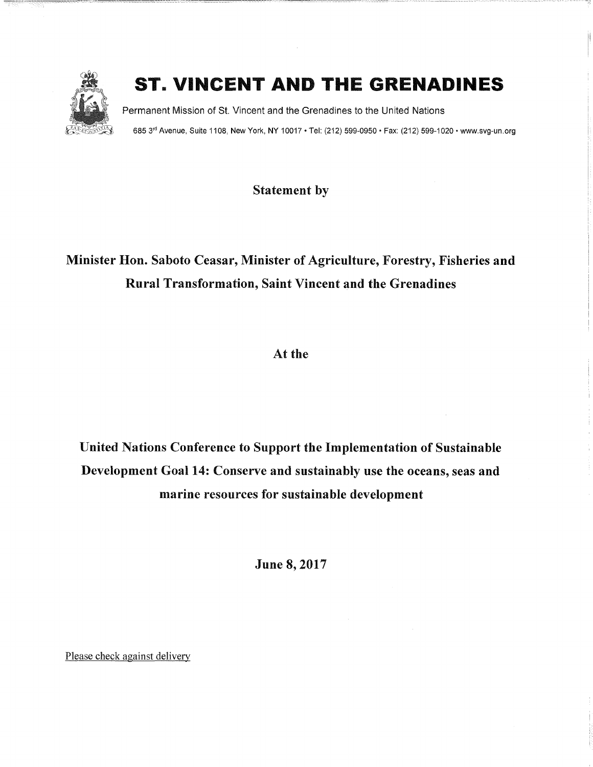

## ST. VINCENT AND THE GRENADINES

Permanent Mission of St. Vincent and the Grenadines to the United Nations 685 3rd Avenue, Suite 1108, New York, NY 10017 · Tel: (212) 599-0950 · Fax: (212) 599-1020 · www.svg-un.org

Statement by

## Minister Hon. Saboto Ceasar, Minister of Agriculture, Forestry, Fisheries and Rural Transformation, Saint Vincent and the Grenadines

At the

United Nations Conference to Support the Implementation of Sustainable Development Goal 14: Conserve and sustainably use the oceans, seas and marine resources for sustainable development

June 8,2017

Please check against delivery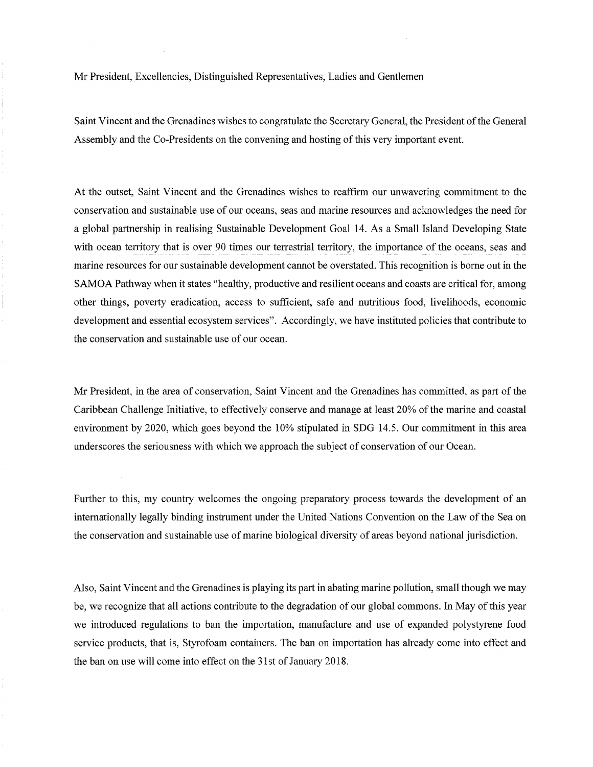Mr President, Excellencies, Distinguished Representatives, Ladies and Gentlemen

Saint Vincent and the Grenadines wishes to congratulate the Secretary General, the President of the General Assembly and the Co-Presidents on the convening and hosting of this very important event.

At the outset, Saint Vincent and the Grenadines wishes to reaffirm our unwavering commitment to the conservation and sustainable use of our oceans, seas and marine resources and acknowledges the need for a global partnership in realising Sustainable Development Goal 14. As a Small Island Developing State with ocean territory that is over 90 times our terrestrial territory, the importance of the oceans, seas and marine resources for our sustainable development cannot be overstated. This recognition is borne out in the SAMOA Pathway when it states "healthy, productive and resilient oceans and coasts are critical for, among other things, poverty eradication, access to sufficient, safe and nutritious food, livelihoods, economic development and essential ecosystem services". Accordingly, we have instituted policies that contribute to the conservation and sustainable use of our ocean.

Mr President, in the area of conservation, Saint Vincent and the Grenadines has committed, as part of the Caribbean Challenge Initiative, to effectively conserve and manage at least 20% of the marine and coastal environment by 2020, which goes beyond the 10% stipulated in SDG 14.5. Our commitment in this area underscores the seriousness with which we approach the subject of conservation of our Ocean.

Further to this, my country welcomes the ongoing preparatory process towards the development of an internationally legally binding instrument under the United Nations Convention on the Law of the Sea on the conservation and sustainable use of marine biological diversity of areas beyond national jurisdiction.

Also, Saint Vincent and the Grenadines is playing its part in abating marine pollution, small though we may be, we recognize that all actions contribute to the degradation of our global commons. In May of this year we introduced regulations to ban the importation, manufacture and use of expanded polystyrene food service products, that is, Styrofoam containers. The ban on importation has already come into effect and the ban on use will come into effect on the 31st of January 2018.